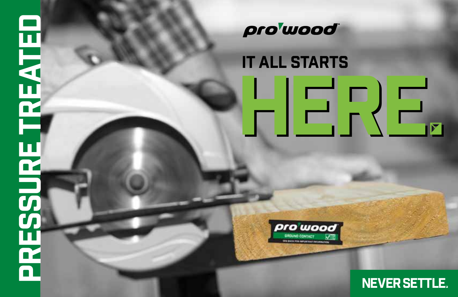## PRESSURE TREATED 閂 **AESSURE TREA**



#### IT ALL STARTS

HERE



NEVER SETTLE .

**.**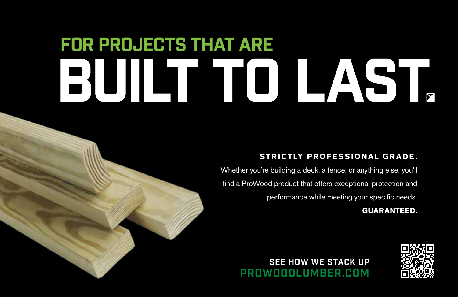### for projects that are BUILT TO LAST

#### **STRICTLY PROFESSIONAL GRADE.**

Whether you're building a deck, a fence, or anything else, you'll find a ProWood product that offers exceptional protection and performance while meeting your specific needs.

**GUARANTEED.** 



#### SEE HOW WE STACK UP PROWOODLUMBER.COM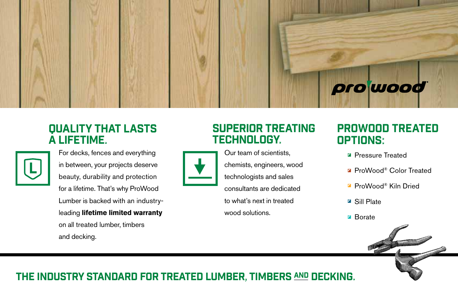# prowood

#### **QUALITY THAT LASTS** a lifetime.



For decks, fences and everything in between, your projects deserve beauty, durability and protection for a lifetime. That's why ProWood Lumber is backed with an industryleading **lifetime limited warranty** on all treated lumber, timbers and decking.

#### Superior treating technology.

Our team of scientists, chemists, engineers, wood technologists and sales consultants are dedicated to what's next in treated wood solutions.

#### ProWood Treated Options:

- P **I IUINO.**<br>■ Pressure Treated
- ProWood® Color Treated
- ProWood® Kiln Dried
- Frovvood<br>■ Sill Plate
- Borate